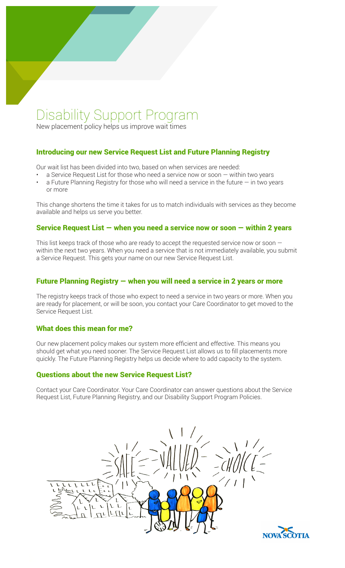# Disability Support Program

New placement policy helps us improve wait times

## Introducing our new Service Request List and Future Planning Registry

Our wait list has been divided into two, based on when services are needed:

- a Service Request List for those who need a service now or soon  $-$  within two years
- a Future Planning Registry for those who will need a service in the future  $-$  in two years or more

This change shortens the time it takes for us to match individuals with services as they become available and helps us serve you better.

#### Service Request List — when you need a service now or soon — within 2 years

This list keeps track of those who are ready to accept the requested service now or soon  $$ within the next two years. When you need a service that is not immediately available, you submit a Service Request. This gets your name on our new Service Request List.

## Future Planning Registry — when you will need a service in 2 years or more

The registry keeps track of those who expect to need a service in two years or more. When you are ready for placement, or will be soon, you contact your Care Coordinator to get moved to the Service Request List.

### What does this mean for me?

Our new placement policy makes our system more efficient and effective. This means you should get what you need sooner. The Service Request List allows us to fill placements more quickly. The Future Planning Registry helps us decide where to add capacity to the system.

### Questions about the new Service Request List?

Contact your Care Coordinator. Your Care Coordinator can answer questions about the Service Request List, Future Planning Registry, and our Disability Support Program Policies.